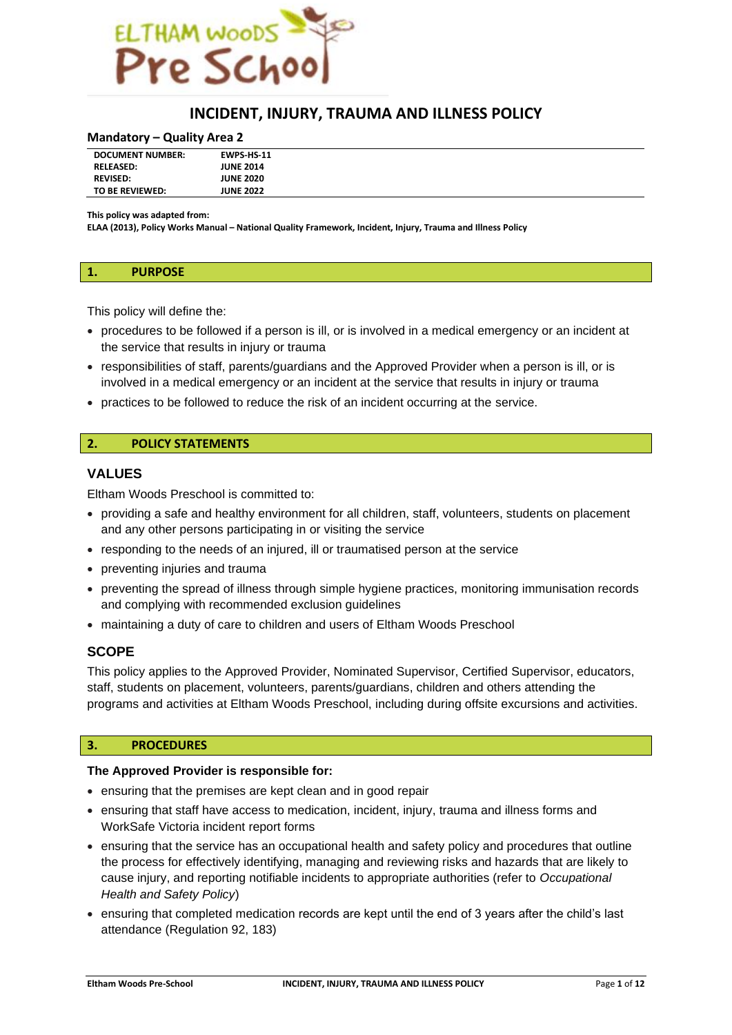

# **INCIDENT, INJURY, TRAUMA AND ILLNESS POLICY**

#### **Mandatory – Quality Area 2**

| <b>DOCUMENT NUMBER:</b> | <b>EWPS HS-11</b> |  |
|-------------------------|-------------------|--|
| <b>RELEASED:</b>        | <b>JUNE 2014</b>  |  |
| <b>REVISED:</b>         | <b>JUNE 2020</b>  |  |
| TO BE REVIEWED:         | <b>JUNE 2022</b>  |  |

**This policy was adapted from:**

**ELAA (2013), Policy Works Manual – National Quality Framework, Incident, Injury, Trauma and Illness Policy**

#### **1. PURPOSE**

This policy will define the:

- procedures to be followed if a person is ill, or is involved in a medical emergency or an incident at the service that results in injury or trauma
- responsibilities of staff, parents/guardians and the Approved Provider when a person is ill, or is involved in a medical emergency or an incident at the service that results in injury or trauma
- practices to be followed to reduce the risk of an incident occurring at the service.

## **2. POLICY STATEMENTS**

# **VALUES**

Eltham Woods Preschool is committed to:

- providing a safe and healthy environment for all children, staff, volunteers, students on placement and any other persons participating in or visiting the service
- responding to the needs of an injured, ill or traumatised person at the service
- preventing injuries and trauma
- preventing the spread of illness through simple hygiene practices, monitoring immunisation records and complying with recommended exclusion guidelines
- maintaining a duty of care to children and users of Eltham Woods Preschool

#### **SCOPE**

This policy applies to the Approved Provider, Nominated Supervisor, Certified Supervisor, educators, staff, students on placement, volunteers, parents/guardians, children and others attending the programs and activities at Eltham Woods Preschool, including during offsite excursions and activities.

#### **3. PROCEDURES**

#### **The Approved Provider is responsible for:**

- ensuring that the premises are kept clean and in good repair
- ensuring that staff have access to medication, incident, injury, trauma and illness forms and WorkSafe Victoria incident report forms
- ensuring that the service has an occupational health and safety policy and procedures that outline the process for effectively identifying, managing and reviewing risks and hazards that are likely to cause injury, and reporting notifiable incidents to appropriate authorities (refer to *Occupational Health and Safety Policy*)
- ensuring that completed medication records are kept until the end of 3 years after the child's last attendance (Regulation 92, 183)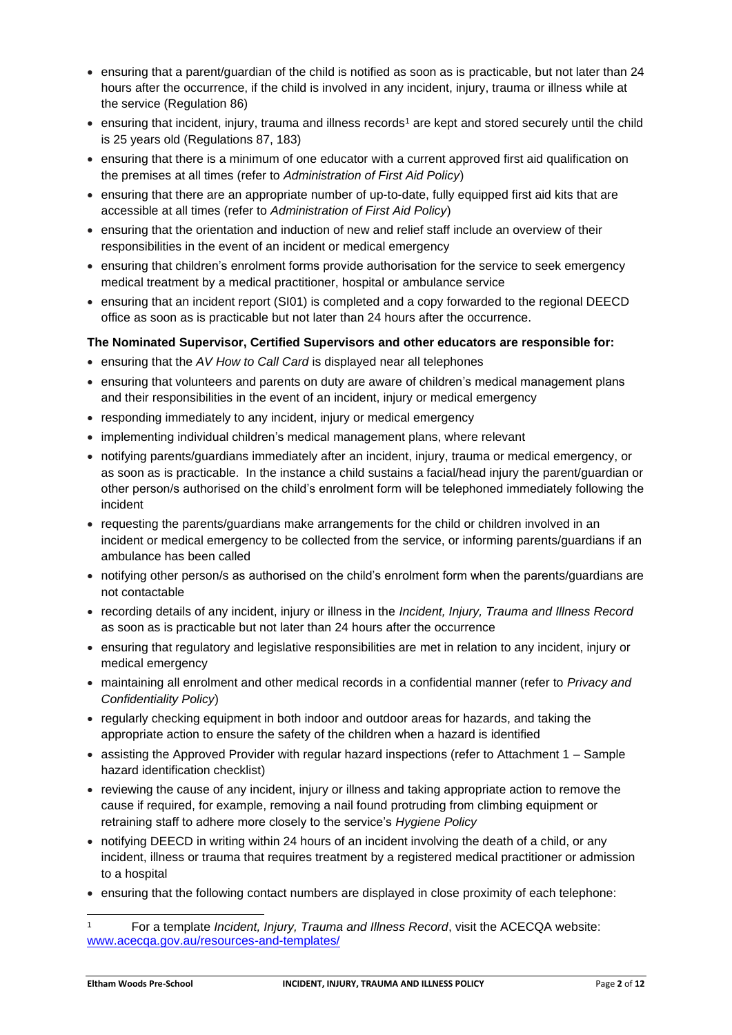- ensuring that a parent/guardian of the child is notified as soon as is practicable, but not later than 24 hours after the occurrence, if the child is involved in any incident, injury, trauma or illness while at the service (Regulation 86)
- ensuring that incident, injury, trauma and illness records<sup>1</sup> are kept and stored securely until the child is 25 years old (Regulations 87, 183)
- ensuring that there is a minimum of one educator with a current approved first aid qualification on the premises at all times (refer to *Administration of First Aid Policy*)
- ensuring that there are an appropriate number of up-to-date, fully equipped first aid kits that are accessible at all times (refer to *Administration of First Aid Policy*)
- ensuring that the orientation and induction of new and relief staff include an overview of their responsibilities in the event of an incident or medical emergency
- ensuring that children's enrolment forms provide authorisation for the service to seek emergency medical treatment by a medical practitioner, hospital or ambulance service
- ensuring that an incident report (SI01) is completed and a copy forwarded to the regional DEECD office as soon as is practicable but not later than 24 hours after the occurrence.

# **The Nominated Supervisor, Certified Supervisors and other educators are responsible for:**

- ensuring that the *AV How to Call Card* is displayed near all telephones
- ensuring that volunteers and parents on duty are aware of children's medical management plans and their responsibilities in the event of an incident, injury or medical emergency
- responding immediately to any incident, injury or medical emergency
- implementing individual children's medical management plans, where relevant
- notifying parents/guardians immediately after an incident, injury, trauma or medical emergency, or as soon as is practicable. In the instance a child sustains a facial/head injury the parent/guardian or other person/s authorised on the child's enrolment form will be telephoned immediately following the incident
- requesting the parents/guardians make arrangements for the child or children involved in an incident or medical emergency to be collected from the service, or informing parents/guardians if an ambulance has been called
- notifying other person/s as authorised on the child's enrolment form when the parents/guardians are not contactable
- recording details of any incident, injury or illness in the *Incident, Injury, Trauma and Illness Record* as soon as is practicable but not later than 24 hours after the occurrence
- ensuring that regulatory and legislative responsibilities are met in relation to any incident, injury or medical emergency
- maintaining all enrolment and other medical records in a confidential manner (refer to *Privacy and Confidentiality Policy*)
- regularly checking equipment in both indoor and outdoor areas for hazards, and taking the appropriate action to ensure the safety of the children when a hazard is identified
- assisting the Approved Provider with regular hazard inspections (refer to Attachment 1 Sample hazard identification checklist)
- reviewing the cause of any incident, injury or illness and taking appropriate action to remove the cause if required, for example, removing a nail found protruding from climbing equipment or retraining staff to adhere more closely to the service's *Hygiene Policy*
- notifying DEECD in writing within 24 hours of an incident involving the death of a child, or any incident, illness or trauma that requires treatment by a registered medical practitioner or admission to a hospital
- ensuring that the following contact numbers are displayed in close proximity of each telephone:

<sup>1</sup> For a template *Incident, Injury, Trauma and Illness Record*, visit the ACECQA website: [www.acecqa.gov.au/resources-and-templates/](http://www.acecqa.gov.au/resources-and-templates/)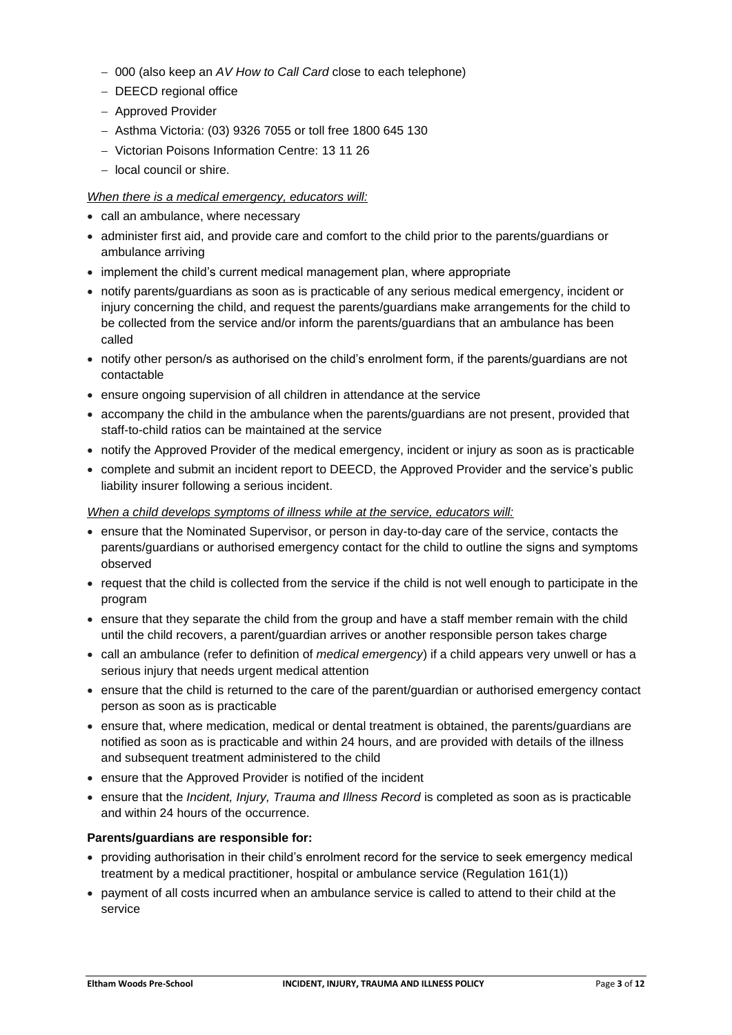- − 000 (also keep an *AV How to Call Card* close to each telephone)
- − DEECD regional office
- − Approved Provider
- − Asthma Victoria: (03) 9326 7055 or toll free 1800 645 130
- − Victorian Poisons Information Centre: 13 11 26
- − local council or shire.

# *When there is a medical emergency, educators will:*

- call an ambulance, where necessary
- administer first aid, and provide care and comfort to the child prior to the parents/guardians or ambulance arriving
- implement the child's current medical management plan, where appropriate
- notify parents/guardians as soon as is practicable of any serious medical emergency, incident or injury concerning the child, and request the parents/guardians make arrangements for the child to be collected from the service and/or inform the parents/guardians that an ambulance has been called
- notify other person/s as authorised on the child's enrolment form, if the parents/guardians are not contactable
- ensure ongoing supervision of all children in attendance at the service
- accompany the child in the ambulance when the parents/guardians are not present, provided that staff-to-child ratios can be maintained at the service
- notify the Approved Provider of the medical emergency, incident or injury as soon as is practicable
- complete and submit an incident report to DEECD, the Approved Provider and the service's public liability insurer following a serious incident.

# *When a child develops symptoms of illness while at the service, educators will:*

- ensure that the Nominated Supervisor, or person in day-to-day care of the service, contacts the parents/guardians or authorised emergency contact for the child to outline the signs and symptoms observed
- request that the child is collected from the service if the child is not well enough to participate in the program
- ensure that they separate the child from the group and have a staff member remain with the child until the child recovers, a parent/guardian arrives or another responsible person takes charge
- call an ambulance (refer to definition of *medical emergency*) if a child appears very unwell or has a serious injury that needs urgent medical attention
- ensure that the child is returned to the care of the parent/guardian or authorised emergency contact person as soon as is practicable
- ensure that, where medication, medical or dental treatment is obtained, the parents/guardians are notified as soon as is practicable and within 24 hours, and are provided with details of the illness and subsequent treatment administered to the child
- ensure that the Approved Provider is notified of the incident
- ensure that the *Incident, Injury, Trauma and Illness Record* is completed as soon as is practicable and within 24 hours of the occurrence.

# **Parents/guardians are responsible for:**

- providing authorisation in their child's enrolment record for the service to seek emergency medical treatment by a medical practitioner, hospital or ambulance service (Regulation 161(1))
- payment of all costs incurred when an ambulance service is called to attend to their child at the service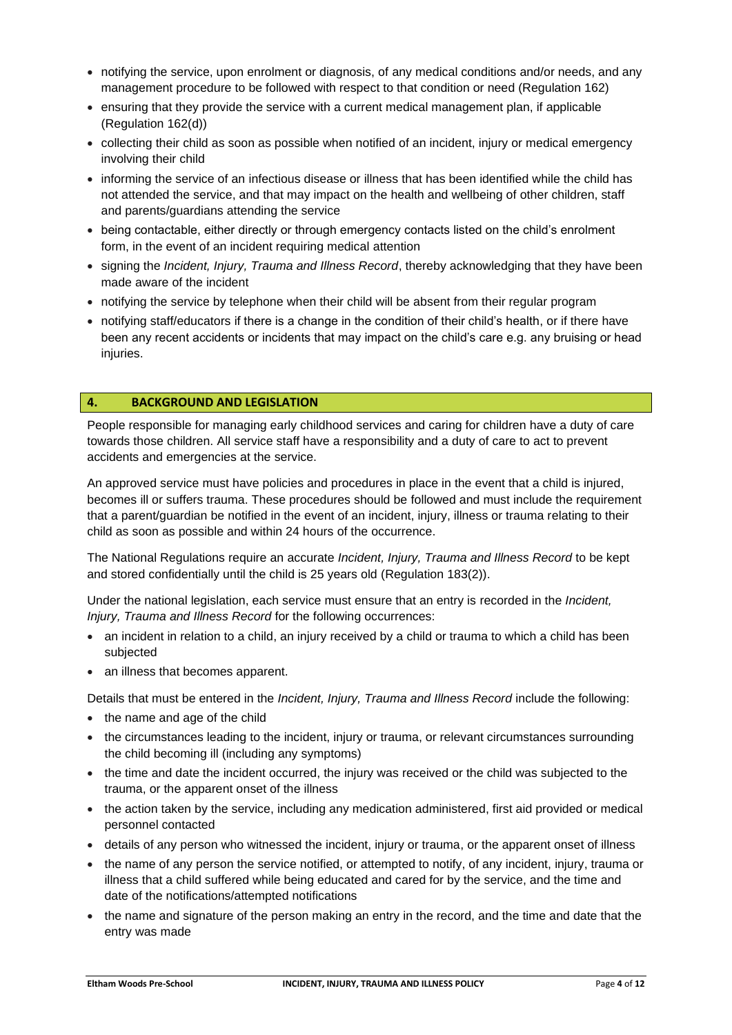- notifying the service, upon enrolment or diagnosis, of any medical conditions and/or needs, and any management procedure to be followed with respect to that condition or need (Regulation 162)
- ensuring that they provide the service with a current medical management plan, if applicable (Regulation 162(d))
- collecting their child as soon as possible when notified of an incident, injury or medical emergency involving their child
- informing the service of an infectious disease or illness that has been identified while the child has not attended the service, and that may impact on the health and wellbeing of other children, staff and parents/guardians attending the service
- being contactable, either directly or through emergency contacts listed on the child's enrolment form, in the event of an incident requiring medical attention
- signing the *Incident, Injury, Trauma and Illness Record*, thereby acknowledging that they have been made aware of the incident
- notifying the service by telephone when their child will be absent from their regular program
- notifying staff/educators if there is a change in the condition of their child's health, or if there have been any recent accidents or incidents that may impact on the child's care e.g. any bruising or head injuries.

## **4. BACKGROUND AND LEGISLATION**

People responsible for managing early childhood services and caring for children have a duty of care towards those children. All service staff have a responsibility and a duty of care to act to prevent accidents and emergencies at the service.

An approved service must have policies and procedures in place in the event that a child is injured, becomes ill or suffers trauma. These procedures should be followed and must include the requirement that a parent/guardian be notified in the event of an incident, injury, illness or trauma relating to their child as soon as possible and within 24 hours of the occurrence.

The National Regulations require an accurate *Incident, Injury, Trauma and Illness Record* to be kept and stored confidentially until the child is 25 years old (Regulation 183(2)).

Under the national legislation, each service must ensure that an entry is recorded in the *Incident, Injury, Trauma and Illness Record* for the following occurrences:

- an incident in relation to a child, an injury received by a child or trauma to which a child has been subjected
- an illness that becomes apparent.

Details that must be entered in the *Incident, Injury, Trauma and Illness Record* include the following:

- the name and age of the child
- the circumstances leading to the incident, injury or trauma, or relevant circumstances surrounding the child becoming ill (including any symptoms)
- the time and date the incident occurred, the injury was received or the child was subjected to the trauma, or the apparent onset of the illness
- the action taken by the service, including any medication administered, first aid provided or medical personnel contacted
- details of any person who witnessed the incident, injury or trauma, or the apparent onset of illness
- the name of any person the service notified, or attempted to notify, of any incident, injury, trauma or illness that a child suffered while being educated and cared for by the service, and the time and date of the notifications/attempted notifications
- the name and signature of the person making an entry in the record, and the time and date that the entry was made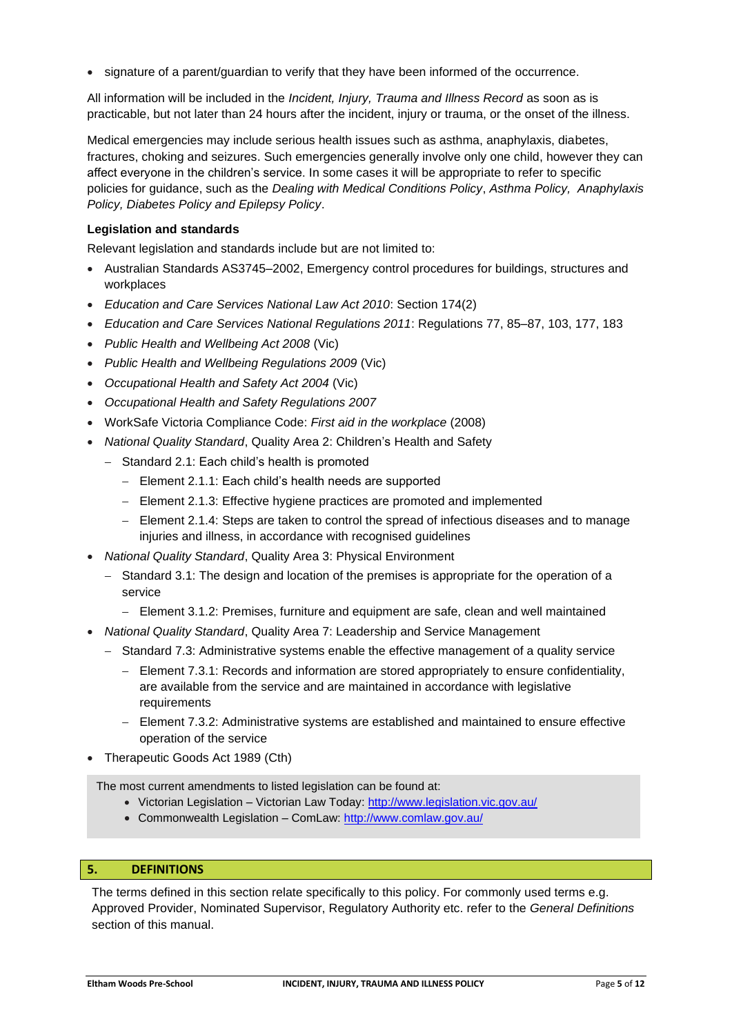• signature of a parent/guardian to verify that they have been informed of the occurrence.

All information will be included in the *Incident, Injury, Trauma and Illness Record* as soon as is practicable, but not later than 24 hours after the incident, injury or trauma, or the onset of the illness.

Medical emergencies may include serious health issues such as asthma, anaphylaxis, diabetes, fractures, choking and seizures. Such emergencies generally involve only one child, however they can affect everyone in the children's service. In some cases it will be appropriate to refer to specific policies for guidance, such as the *Dealing with Medical Conditions Policy*, *Asthma Policy, Anaphylaxis Policy, Diabetes Policy and Epilepsy Policy*.

## **Legislation and standards**

Relevant legislation and standards include but are not limited to:

- Australian Standards AS3745–2002, Emergency control procedures for buildings, structures and workplaces
- *Education and Care Services National Law Act 2010*: Section 174(2)
- *Education and Care Services National Regulations 2011*: Regulations 77, 85–87, 103, 177, 183
- *Public Health and Wellbeing Act 2008* (Vic)
- *Public Health and Wellbeing Regulations 2009* (Vic)
- *Occupational Health and Safety Act 2004* (Vic)
- *Occupational Health and Safety Regulations 2007*
- WorkSafe Victoria Compliance Code: *First aid in the workplace* (2008)
- *National Quality Standard*, Quality Area 2: Children's Health and Safety
	- − Standard 2.1: Each child's health is promoted
		- − Element 2.1.1: Each child's health needs are supported
		- − Element 2.1.3: Effective hygiene practices are promoted and implemented
		- − Element 2.1.4: Steps are taken to control the spread of infectious diseases and to manage injuries and illness, in accordance with recognised guidelines
- *National Quality Standard*, Quality Area 3: Physical Environment
	- − Standard 3.1: The design and location of the premises is appropriate for the operation of a service
		- − Element 3.1.2: Premises, furniture and equipment are safe, clean and well maintained
- *National Quality Standard*, Quality Area 7: Leadership and Service Management
	- − Standard 7.3: Administrative systems enable the effective management of a quality service
		- − Element 7.3.1: Records and information are stored appropriately to ensure confidentiality, are available from the service and are maintained in accordance with legislative requirements
		- − Element 7.3.2: Administrative systems are established and maintained to ensure effective operation of the service
- Therapeutic Goods Act 1989 (Cth)

The most current amendments to listed legislation can be found at:

- Victorian Legislation Victorian Law Today:<http://www.legislation.vic.gov.au/>
- Commonwealth Legislation ComLaw[: http://www.comlaw.gov.au/](http://www.comlaw.gov.au/)

## **5. DEFINITIONS**

The terms defined in this section relate specifically to this policy. For commonly used terms e.g. Approved Provider, Nominated Supervisor, Regulatory Authority etc. refer to the *General Definitions* section of this manual.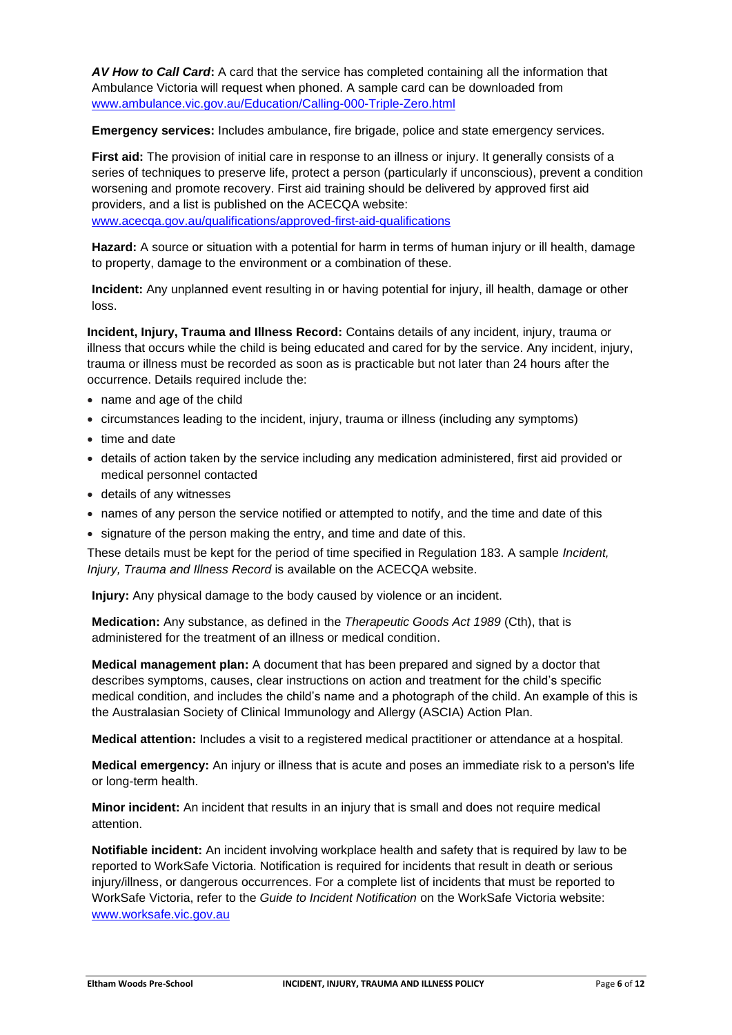*AV How to Call Card***:** A card that the service has completed containing all the information that Ambulance Victoria will request when phoned. A sample card can be downloaded from [www.ambulance.vic.gov.au/Education/Calling-000-Triple-Zero.html](http://www.ambulance.vic.gov.au/Education/Calling-000-Triple-Zero.html)

**Emergency services:** Includes ambulance, fire brigade, police and state emergency services.

**First aid:** The provision of initial care in response to an illness or injury. It generally consists of a series of techniques to preserve life, protect a person (particularly if unconscious), prevent a condition worsening and promote recovery. First aid training should be delivered by approved first aid providers, and a list is published on the ACECQA website: [www.acecqa.gov.au/qualifications/approved-first-aid-qualifications](http://www.acecqa.gov.au/qualifications/approved-first-aid-qualifications)

**Hazard:** A source or situation with a potential for harm in terms of human injury or ill health, damage to property, damage to the environment or a combination of these.

**Incident:** Any unplanned event resulting in or having potential for injury, ill health, damage or other loss.

**Incident, Injury, Trauma and Illness Record:** Contains details of any incident, injury, trauma or illness that occurs while the child is being educated and cared for by the service. Any incident, injury, trauma or illness must be recorded as soon as is practicable but not later than 24 hours after the occurrence. Details required include the:

- name and age of the child
- circumstances leading to the incident, injury, trauma or illness (including any symptoms)
- time and date
- details of action taken by the service including any medication administered, first aid provided or medical personnel contacted
- details of any witnesses
- names of any person the service notified or attempted to notify, and the time and date of this
- signature of the person making the entry, and time and date of this.

These details must be kept for the period of time specified in Regulation 183. A sample *Incident, Injury, Trauma and Illness Record* is available on the ACECQA website.

**Injury:** Any physical damage to the body caused by violence or an incident.

**Medication:** Any substance, as defined in the *Therapeutic Goods Act 1989* (Cth), that is administered for the treatment of an illness or medical condition.

**Medical management plan:** A document that has been prepared and signed by a doctor that describes symptoms, causes, clear instructions on action and treatment for the child's specific medical condition, and includes the child's name and a photograph of the child. An example of this is the Australasian Society of Clinical Immunology and Allergy (ASCIA) Action Plan.

**Medical attention:** Includes a visit to a registered medical practitioner or attendance at a hospital.

**Medical emergency:** An injury or illness that is acute and poses an immediate risk to a person's life or long-term health.

**Minor incident:** An incident that results in an injury that is small and does not require medical attention.

**Notifiable incident:** An incident involving workplace health and safety that is required by law to be reported to WorkSafe Victoria. Notification is required for incidents that result in death or serious injury/illness, or dangerous occurrences. For a complete list of incidents that must be reported to WorkSafe Victoria, refer to the *Guide to Incident Notification* on the WorkSafe Victoria website: [www.worksafe.vic.gov.au](http://www.worksafe.vic.gov.au/)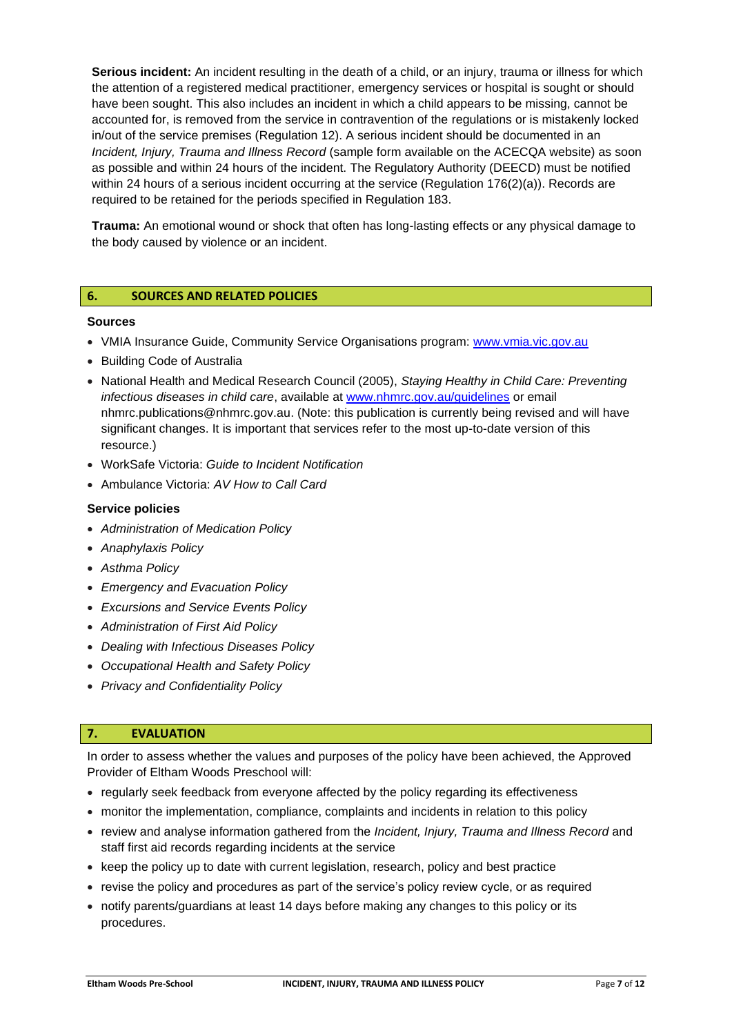**Serious incident:** An incident resulting in the death of a child, or an injury, trauma or illness for which the attention of a registered medical practitioner, emergency services or hospital is sought or should have been sought. This also includes an incident in which a child appears to be missing, cannot be accounted for, is removed from the service in contravention of the regulations or is mistakenly locked in/out of the service premises (Regulation 12). A serious incident should be documented in an *Incident, Injury, Trauma and Illness Record* (sample form available on the ACECQA website) as soon as possible and within 24 hours of the incident. The Regulatory Authority (DEECD) must be notified within 24 hours of a serious incident occurring at the service (Regulation 176(2)(a)). Records are required to be retained for the periods specified in Regulation 183.

**Trauma:** An emotional wound or shock that often has long-lasting effects or any physical damage to the body caused by violence or an incident.

## **6. SOURCES AND RELATED POLICIES**

#### **Sources**

- VMIA Insurance Guide, Community Service Organisations program: www.ymia.vic.gov.au
- Building Code of Australia
- National Health and Medical Research Council (2005), *Staying Healthy in Child Care: Preventing infectious diseases in child care*, available at [www.nhmrc.gov.au/guidelines](http://www.nhmrc.gov.au/guidelines) or email nhmrc.publications@nhmrc.gov.au. (Note: this publication is currently being revised and will have significant changes. It is important that services refer to the most up-to-date version of this resource.)
- WorkSafe Victoria: *Guide to Incident Notification*
- Ambulance Victoria: *AV How to Call Card*

#### **Service policies**

- *Administration of Medication Policy*
- *Anaphylaxis Policy*
- *Asthma Policy*
- *Emergency and Evacuation Policy*
- *Excursions and Service Events Policy*
- *Administration of First Aid Policy*
- *Dealing with Infectious Diseases Policy*
- *Occupational Health and Safety Policy*
- *Privacy and Confidentiality Policy*

#### **7. EVALUATION**

In order to assess whether the values and purposes of the policy have been achieved, the Approved Provider of Eltham Woods Preschool will:

- regularly seek feedback from everyone affected by the policy regarding its effectiveness
- monitor the implementation, compliance, complaints and incidents in relation to this policy
- review and analyse information gathered from the *Incident, Injury, Trauma and Illness Record* and staff first aid records regarding incidents at the service
- keep the policy up to date with current legislation, research, policy and best practice
- revise the policy and procedures as part of the service's policy review cycle, or as required
- notify parents/guardians at least 14 days before making any changes to this policy or its procedures.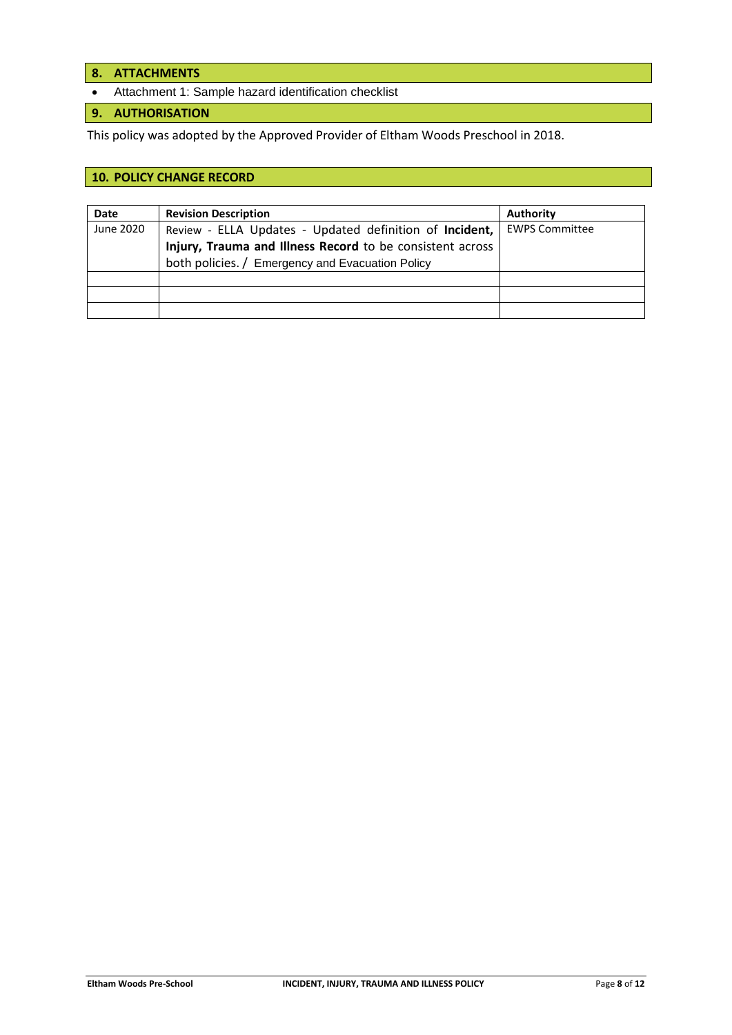- **8. ATTACHMENTS**
- Attachment 1: Sample hazard identification checklist

# **9. AUTHORISATION**

This policy was adopted by the Approved Provider of Eltham Woods Preschool in 2018.

# **10. POLICY CHANGE RECORD**

| <b>Date</b> | <b>Revision Description</b>                               | Authority             |
|-------------|-----------------------------------------------------------|-----------------------|
| June 2020   | Review - ELLA Updates - Updated definition of Incident,   | <b>EWPS Committee</b> |
|             | Injury, Trauma and Illness Record to be consistent across |                       |
|             | both policies. / Emergency and Evacuation Policy          |                       |
|             |                                                           |                       |
|             |                                                           |                       |
|             |                                                           |                       |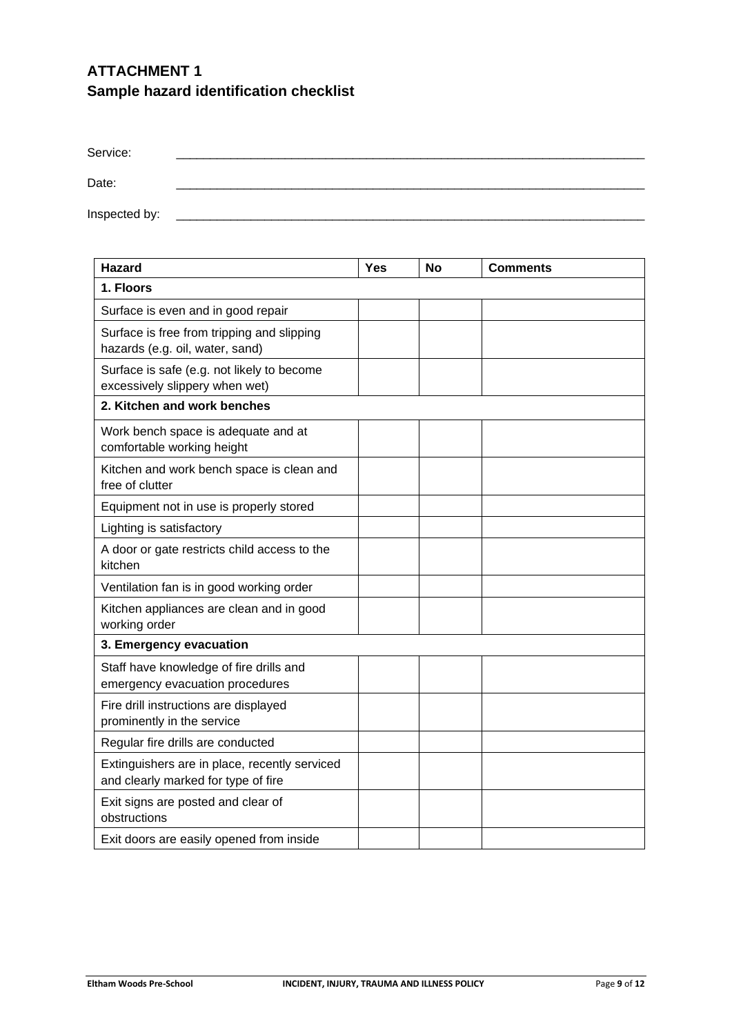# **ATTACHMENT 1 Sample hazard identification checklist**

| Service:      |  |  |
|---------------|--|--|
| Date:         |  |  |
| Inspected by: |  |  |

| <b>Hazard</b>                                                                        | <b>Yes</b> | <b>No</b> | Comments |  |
|--------------------------------------------------------------------------------------|------------|-----------|----------|--|
| 1. Floors                                                                            |            |           |          |  |
| Surface is even and in good repair                                                   |            |           |          |  |
| Surface is free from tripping and slipping<br>hazards (e.g. oil, water, sand)        |            |           |          |  |
| Surface is safe (e.g. not likely to become<br>excessively slippery when wet)         |            |           |          |  |
| 2. Kitchen and work benches                                                          |            |           |          |  |
| Work bench space is adequate and at<br>comfortable working height                    |            |           |          |  |
| Kitchen and work bench space is clean and<br>free of clutter                         |            |           |          |  |
| Equipment not in use is properly stored                                              |            |           |          |  |
| Lighting is satisfactory                                                             |            |           |          |  |
| A door or gate restricts child access to the<br>kitchen                              |            |           |          |  |
| Ventilation fan is in good working order                                             |            |           |          |  |
| Kitchen appliances are clean and in good<br>working order                            |            |           |          |  |
| 3. Emergency evacuation                                                              |            |           |          |  |
| Staff have knowledge of fire drills and<br>emergency evacuation procedures           |            |           |          |  |
| Fire drill instructions are displayed<br>prominently in the service                  |            |           |          |  |
| Regular fire drills are conducted                                                    |            |           |          |  |
| Extinguishers are in place, recently serviced<br>and clearly marked for type of fire |            |           |          |  |
| Exit signs are posted and clear of<br>obstructions                                   |            |           |          |  |
| Exit doors are easily opened from inside                                             |            |           |          |  |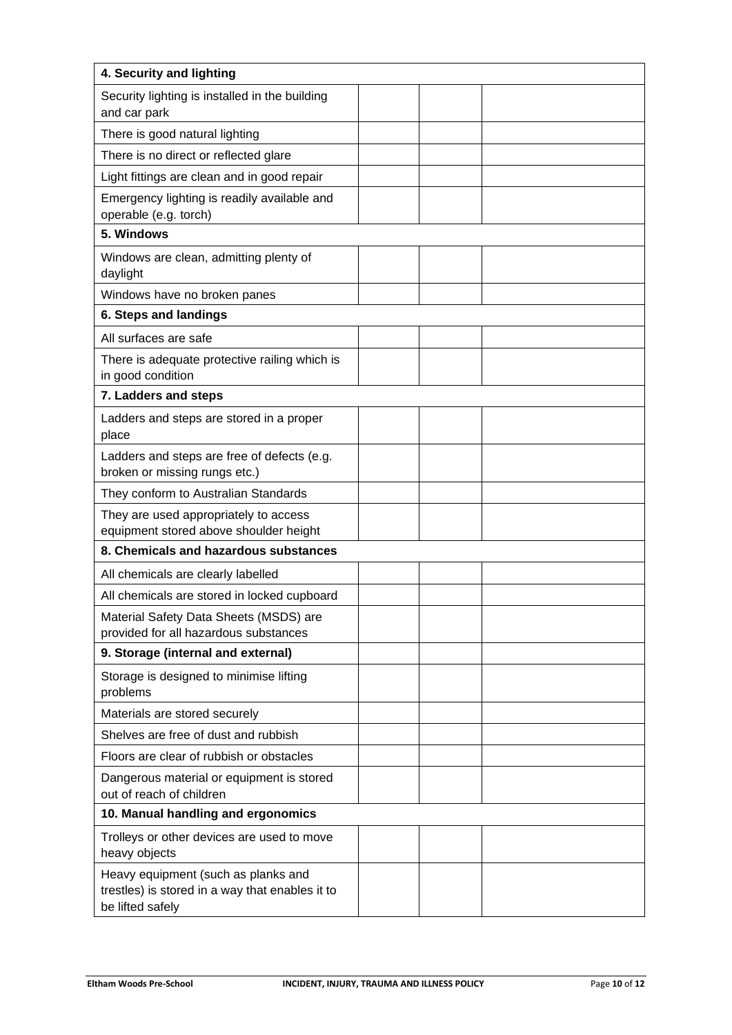| 4. Security and lighting                                                                                   |  |  |  |  |
|------------------------------------------------------------------------------------------------------------|--|--|--|--|
| Security lighting is installed in the building<br>and car park                                             |  |  |  |  |
| There is good natural lighting                                                                             |  |  |  |  |
| There is no direct or reflected glare                                                                      |  |  |  |  |
| Light fittings are clean and in good repair                                                                |  |  |  |  |
| Emergency lighting is readily available and<br>operable (e.g. torch)                                       |  |  |  |  |
| 5. Windows                                                                                                 |  |  |  |  |
| Windows are clean, admitting plenty of<br>daylight                                                         |  |  |  |  |
| Windows have no broken panes                                                                               |  |  |  |  |
| 6. Steps and landings                                                                                      |  |  |  |  |
| All surfaces are safe                                                                                      |  |  |  |  |
| There is adequate protective railing which is<br>in good condition                                         |  |  |  |  |
| 7. Ladders and steps                                                                                       |  |  |  |  |
| Ladders and steps are stored in a proper<br>place                                                          |  |  |  |  |
| Ladders and steps are free of defects (e.g.<br>broken or missing rungs etc.)                               |  |  |  |  |
| They conform to Australian Standards                                                                       |  |  |  |  |
| They are used appropriately to access<br>equipment stored above shoulder height                            |  |  |  |  |
| 8. Chemicals and hazardous substances                                                                      |  |  |  |  |
| All chemicals are clearly labelled                                                                         |  |  |  |  |
| All chemicals are stored in locked cupboard                                                                |  |  |  |  |
| Material Safety Data Sheets (MSDS) are<br>provided for all hazardous substances                            |  |  |  |  |
| 9. Storage (internal and external)                                                                         |  |  |  |  |
| Storage is designed to minimise lifting<br>problems                                                        |  |  |  |  |
| Materials are stored securely                                                                              |  |  |  |  |
| Shelves are free of dust and rubbish                                                                       |  |  |  |  |
| Floors are clear of rubbish or obstacles                                                                   |  |  |  |  |
| Dangerous material or equipment is stored<br>out of reach of children                                      |  |  |  |  |
| 10. Manual handling and ergonomics                                                                         |  |  |  |  |
| Trolleys or other devices are used to move<br>heavy objects                                                |  |  |  |  |
| Heavy equipment (such as planks and<br>trestles) is stored in a way that enables it to<br>be lifted safely |  |  |  |  |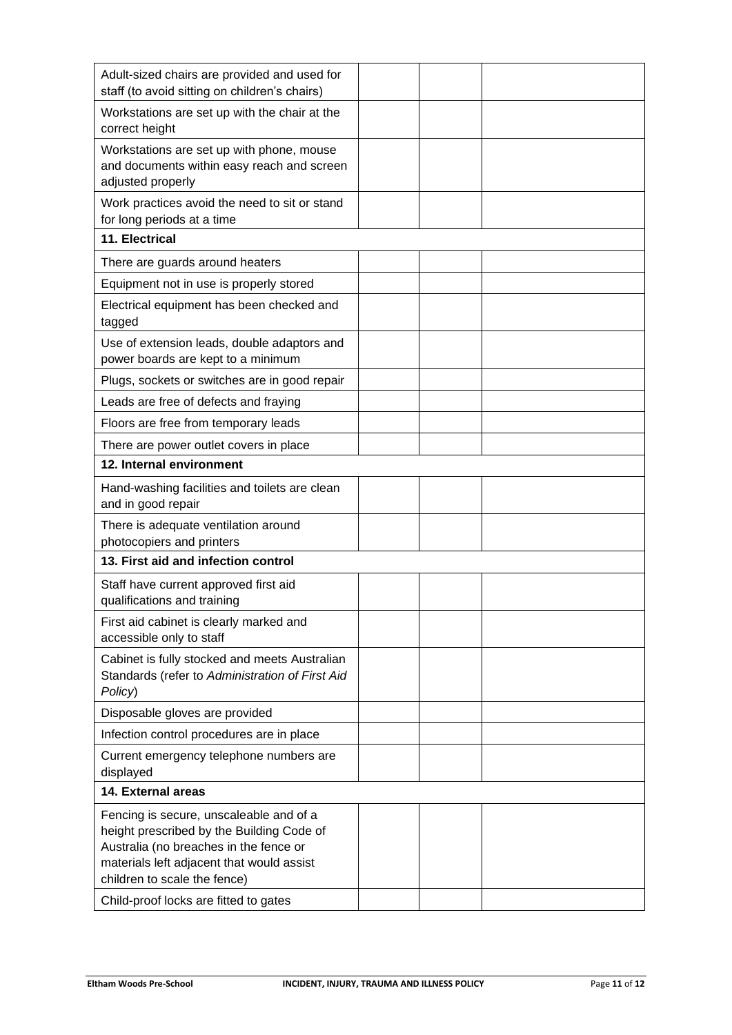| Adult-sized chairs are provided and used for<br>staff (to avoid sitting on children's chairs)                                                                                                               |  |  |
|-------------------------------------------------------------------------------------------------------------------------------------------------------------------------------------------------------------|--|--|
| Workstations are set up with the chair at the<br>correct height                                                                                                                                             |  |  |
| Workstations are set up with phone, mouse<br>and documents within easy reach and screen<br>adjusted properly                                                                                                |  |  |
| Work practices avoid the need to sit or stand<br>for long periods at a time                                                                                                                                 |  |  |
| 11. Electrical                                                                                                                                                                                              |  |  |
| There are guards around heaters                                                                                                                                                                             |  |  |
| Equipment not in use is properly stored                                                                                                                                                                     |  |  |
| Electrical equipment has been checked and<br>tagged                                                                                                                                                         |  |  |
| Use of extension leads, double adaptors and<br>power boards are kept to a minimum                                                                                                                           |  |  |
| Plugs, sockets or switches are in good repair                                                                                                                                                               |  |  |
| Leads are free of defects and fraying                                                                                                                                                                       |  |  |
| Floors are free from temporary leads                                                                                                                                                                        |  |  |
| There are power outlet covers in place                                                                                                                                                                      |  |  |
| 12. Internal environment                                                                                                                                                                                    |  |  |
| Hand-washing facilities and toilets are clean<br>and in good repair                                                                                                                                         |  |  |
| There is adequate ventilation around<br>photocopiers and printers                                                                                                                                           |  |  |
| 13. First aid and infection control                                                                                                                                                                         |  |  |
| Staff have current approved first aid<br>qualifications and training                                                                                                                                        |  |  |
| First aid cabinet is clearly marked and<br>accessible only to staff                                                                                                                                         |  |  |
| Cabinet is fully stocked and meets Australian<br>Standards (refer to Administration of First Aid<br>Policy)                                                                                                 |  |  |
| Disposable gloves are provided                                                                                                                                                                              |  |  |
| Infection control procedures are in place                                                                                                                                                                   |  |  |
| Current emergency telephone numbers are<br>displayed                                                                                                                                                        |  |  |
| 14. External areas                                                                                                                                                                                          |  |  |
| Fencing is secure, unscaleable and of a<br>height prescribed by the Building Code of<br>Australia (no breaches in the fence or<br>materials left adjacent that would assist<br>children to scale the fence) |  |  |
| Child-proof locks are fitted to gates                                                                                                                                                                       |  |  |